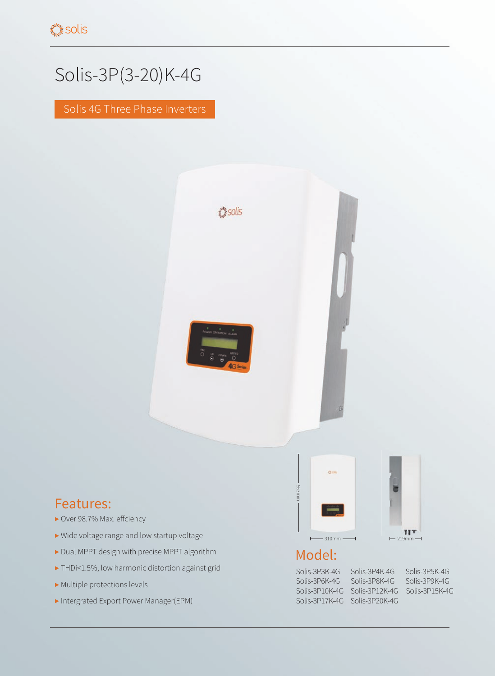## Solis-3P(3-20)K-4G

Solis 4G Three Phase Inverters



## Features:

- ▶ Over 98.7% Max. effciency
- ▶ Wide voltage range and low startup voltage
- ▶ Dual MPPT design with precise MPPT algorithm
- ▶ THDi<1.5%, low harmonic distortion against grid
- ▶ Multiple protections levels
- ▶ Intergrated Export Power Manager(EPM)



## Model:

Solis-3P17K-4G Solis-3P20K-4G

Solis-3P3K-4G Solis-3P4K-4G Solis-3P5K-4G Solis-3P6K-4G Solis-3P8K-4G Solis-3P9K-4G Solis-3P10K-4G Solis-3P12K-4G Solis-3P15K-4G